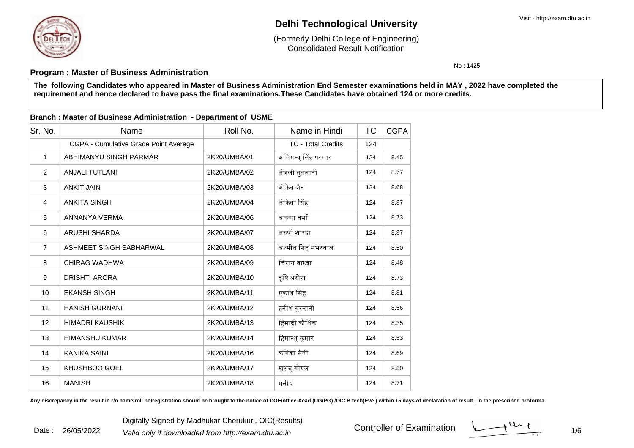Date : 26/05/2022

# **Delhi Technological University**

Consolidated Result Notification(Formerly Delhi College of Engineering)

No : 1425

## **Program : Master of Business Administration**

 **The following Candidates who appeared in Master of Business Administration End Semester examinations held in MAY , 2022 have completed therequirement and hence declared to have pass the final examinations.These Candidates have obtained 124 or more credits.**

### **Branch : Master of Business Administration - Department of USME**

| Sr. No.        | Name                                  | Roll No.     | Name in Hindi             | ТC  | CGPA |
|----------------|---------------------------------------|--------------|---------------------------|-----|------|
|                | CGPA - Cumulative Grade Point Average |              | <b>TC - Total Credits</b> | 124 |      |
| 1              | ABHIMANYU SINGH PARMAR                | 2K20/UMBA/01 | अभिमन्यु सिंह परमार       | 124 | 8.45 |
| 2              | <b>ANJALI TUTLANI</b>                 | 2K20/UMBA/02 | अंजली तुतलानी             | 124 | 8.77 |
| 3              | <b>ANKIT JAIN</b>                     | 2K20/UMBA/03 | अंकित जैन                 | 124 | 8.68 |
| $\overline{4}$ | <b>ANKITA SINGH</b>                   | 2K20/UMBA/04 | अंकिता सिंह               | 124 | 8.87 |
| 5              | ANNANYA VERMA                         | 2K20/UMBA/06 | अनन्या वर्मा              | 124 | 8.73 |
| 6              | <b>ARUSHI SHARDA</b>                  | 2K20/UMBA/07 | अरुषी शारदा               | 124 | 8.87 |
| $\overline{7}$ | ASHMEET SINGH SABHARWAL               | 2K20/UMBA/08 | अश्मीत सिंह सभरवाल        | 124 | 8.50 |
| 8              | <b>CHIRAG WADHWA</b>                  | 2K20/UMBA/09 | चिराग वाध्वा              | 124 | 8.48 |
| 9              | <b>DRISHTI ARORA</b>                  | 2K20/UMBA/10 | दृष्टि अरोरा              | 124 | 8.73 |
| 10             | <b>EKANSH SINGH</b>                   | 2K20/UMBA/11 | एकांश सिंह                | 124 | 8.81 |
| 11             | <b>HANISH GURNANI</b>                 | 2K20/UMBA/12 | हनीश गुरनानी              | 124 | 8.56 |
| 12             | <b>HIMADRI KAUSHIK</b>                | 2K20/UMBA/13 | हिमाद्री कौशिक            | 124 | 8.35 |
| 13             | <b>HIMANSHU KUMAR</b>                 | 2K20/UMBA/14 | हिमान्शु कुमार            | 124 | 8.53 |
| 14             | <b>KANIKA SAINI</b>                   | 2K20/UMBA/16 | कनिका सैनी                | 124 | 8.69 |
| 15             | KHUSHBOO GOEL                         | 2K20/UMBA/17 | खुशबू गोयल                | 124 | 8.50 |
| 16             | <b>MANISH</b>                         | 2K20/UMBA/18 | मनीष                      | 124 | 8.71 |

Any discrepancy in the result in r/o name/roll no/registration should be brought to the notice of COE/office Acad (UG/PG) /OIC B.tech(Eve.) within 15 days of declaration of result, in the prescribed proforma.

 $1/6$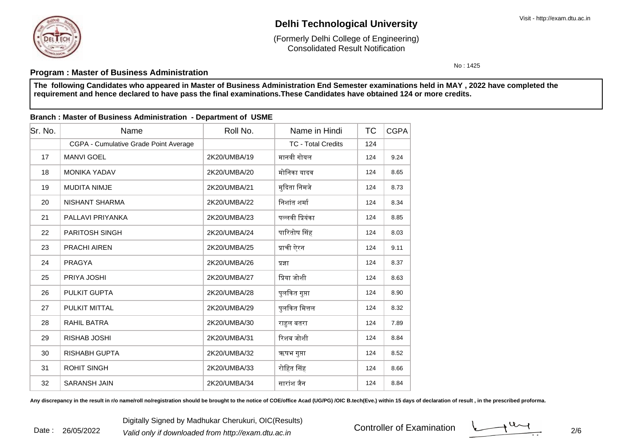Consolidated Result Notification(Formerly Delhi College of Engineering)

No : 1425

## **Program : Master of Business Administration**

 **The following Candidates who appeared in Master of Business Administration End Semester examinations held in MAY , 2022 have completed therequirement and hence declared to have pass the final examinations.These Candidates have obtained 124 or more credits.**

### **Branch : Master of Business Administration - Department of USME**

| Sr. No. | Name                                  | Roll No.     | Name in Hindi             | ТC  | CGPA |
|---------|---------------------------------------|--------------|---------------------------|-----|------|
|         | CGPA - Cumulative Grade Point Average |              | <b>TC - Total Credits</b> | 124 |      |
| 17      | <b>MANVI GOEL</b>                     | 2K20/UMBA/19 | मानवी गोयल                | 124 | 9.24 |
| 18      | <b>MONIKA YADAV</b>                   | 2K20/UMBA/20 | मोनिका यादव               | 124 | 8.65 |
| 19      | <b>MUDITA NIMJE</b>                   | 2K20/UMBA/21 | मुदिता निमजे              | 124 | 8.73 |
| 20      | NISHANT SHARMA                        | 2K20/UMBA/22 | निशांत शर्मा              | 124 | 8.34 |
| 21      | PALLAVI PRIYANKA                      | 2K20/UMBA/23 | पल्लवी प्रियंका           | 124 | 8.85 |
| 22      | <b>PARITOSH SINGH</b>                 | 2K20/UMBA/24 | पारितोष सिंह              | 124 | 8.03 |
| 23      | <b>PRACHI AIREN</b>                   | 2K20/UMBA/25 | प्राची ऐरन                | 124 | 9.11 |
| 24      | <b>PRAGYA</b>                         | 2K20/UMBA/26 | प्रज्ञा                   | 124 | 8.37 |
| 25      | PRIYA JOSHI                           | 2K20/UMBA/27 | प्रिया जोशी               | 124 | 8.63 |
| 26      | <b>PULKIT GUPTA</b>                   | 2K20/UMBA/28 | पुलकित गुप्ता             | 124 | 8.90 |
| 27      | <b>PULKIT MITTAL</b>                  | 2K20/UMBA/29 | पुलकित मित्तल             | 124 | 8.32 |
| 28      | RAHIL BATRA                           | 2K20/UMBA/30 | राहुल बतरा                | 124 | 7.89 |
| 29      | <b>RISHAB JOSHI</b>                   | 2K20/UMBA/31 | रिशब जोशी                 | 124 | 8.84 |
| 30      | <b>RISHABH GUPTA</b>                  | 2K20/UMBA/32 | ऋषभ गुप्ता                | 124 | 8.52 |
| 31      | <b>ROHIT SINGH</b>                    | 2K20/UMBA/33 | रोहित सिंह                | 124 | 8.66 |
| 32      | <b>SARANSH JAIN</b>                   | 2K20/UMBA/34 | सारांश जैन                | 124 | 8.84 |

Any discrepancy in the result in r/o name/roll no/registration should be brought to the notice of COE/office Acad (UG/PG) /OIC B.tech(Eve.) within 15 days of declaration of result, in the prescribed proforma.

 $\frac{1}{2}$  2/6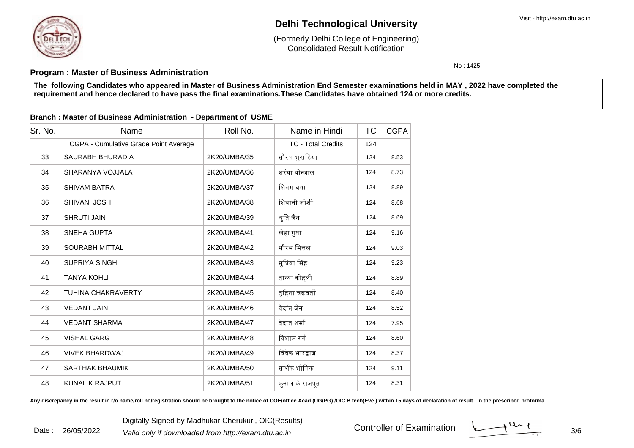Consolidated Result Notification(Formerly Delhi College of Engineering)

No : 1425

## **Program : Master of Business Administration**

 **The following Candidates who appeared in Master of Business Administration End Semester examinations held in MAY , 2022 have completed therequirement and hence declared to have pass the final examinations.These Candidates have obtained 124 or more credits.**

### **Branch : Master of Business Administration - Department of USME**

| Sr. No. | Name                                  | Roll No.     | Name in Hindi             | ТC  | <b>CGPA</b> |
|---------|---------------------------------------|--------------|---------------------------|-----|-------------|
|         | CGPA - Cumulative Grade Point Average |              | <b>TC - Total Credits</b> | 124 |             |
| 33      | <b>SAURABH BHURADIA</b>               | 2K20/UMBA/35 | सौरभ भुराडिया             | 124 | 8.53        |
| 34      | SHARANYA VOJJALA                      | 2K20/UMBA/36 | शरंया वोन्जाल             | 124 | 8.73        |
| 35      | <b>SHIVAM BATRA</b>                   | 2K20/UMBA/37 | शिवम बत्रा                | 124 | 8.89        |
| 36      | <b>SHIVANI JOSHI</b>                  | 2K20/UMBA/38 | शिवानी जोशी               | 124 | 8.68        |
| 37      | <b>SHRUTI JAIN</b>                    | 2K20/UMBA/39 | श्रुति जैन                | 124 | 8.69        |
| 38      | SNEHA GUPTA                           | 2K20/UMBA/41 | स्रेहा गुप्ता             | 124 | 9.16        |
| 39      | <b>SOURABH MITTAL</b>                 | 2K20/UMBA/42 | सौरभ मित्तल               | 124 | 9.03        |
| 40      | <b>SUPRIYA SINGH</b>                  | 2K20/UMBA/43 | सुप्रिया सिंह             | 124 | 9.23        |
| 41      | <b>TANYA KOHLI</b>                    | 2K20/UMBA/44 | तान्या कोहली              | 124 | 8.89        |
| 42      | <b>TUHINA CHAKRAVERTY</b>             | 2K20/UMBA/45 | तुहिना चक्रवर्ती          | 124 | 8.40        |
| 43      | <b>VEDANT JAIN</b>                    | 2K20/UMBA/46 | वेदांत जैन                | 124 | 8.52        |
| 44      | <b>VEDANT SHARMA</b>                  | 2K20/UMBA/47 | वेदांत शर्मा              | 124 | 7.95        |
| 45      | <b>VISHAL GARG</b>                    | 2K20/UMBA/48 | विशाल गर्ग                | 124 | 8.60        |
| 46      | <b>VIVEK BHARDWAJ</b>                 | 2K20/UMBA/49 | विवेक भारद्वाज            | 124 | 8.37        |
| 47      | <b>SARTHAK BHAUMIK</b>                | 2K20/UMBA/50 | सार्थक भौमिक              | 124 | 9.11        |
| 48      | <b>KUNAL K RAJPUT</b>                 | 2K20/UMBA/51 | कुनाल के राजपूत           | 124 | 8.31        |

Any discrepancy in the result in r/o name/roll no/registration should be brought to the notice of COE/office Acad (UG/PG) /OIC B.tech(Eve.) within 15 days of declaration of result, in the prescribed proforma.

Digitally Signed by Madhukar Cherukuri, OIC(Results)<br><sup>2</sup> Valid only if downloaded from http://exam.dtu.ac.in Controller of Examination Date : 26/05/2022

 $\frac{1}{1}$  3/6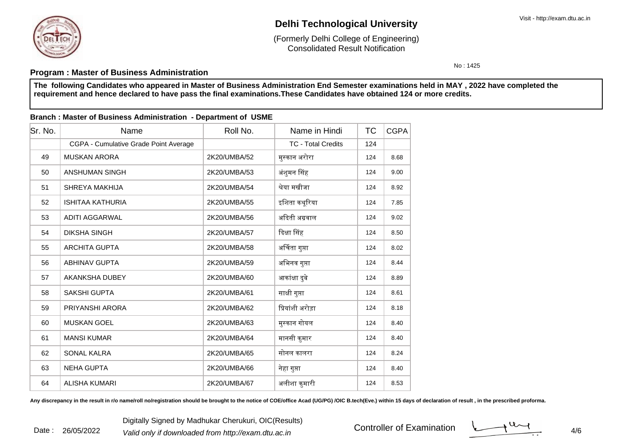Consolidated Result Notification(Formerly Delhi College of Engineering)

No : 1425

## **Program : Master of Business Administration**

 **The following Candidates who appeared in Master of Business Administration End Semester examinations held in MAY , 2022 have completed therequirement and hence declared to have pass the final examinations.These Candidates have obtained 124 or more credits.**

### **Branch : Master of Business Administration - Department of USME**

| lSr. No. | Name                                  | Roll No.     | Name in Hindi             | ТC  | <b>CGPA</b> |
|----------|---------------------------------------|--------------|---------------------------|-----|-------------|
|          | CGPA - Cumulative Grade Point Average |              | <b>TC - Total Credits</b> | 124 |             |
| 49       | <b>MUSKAN ARORA</b>                   | 2K20/UMBA/52 | मुस्कान अरोरा             | 124 | 8.68        |
| 50       | <b>ANSHUMAN SINGH</b>                 | 2K20/UMBA/53 | अंशुमन सिंह               | 124 | 9.00        |
| 51       | SHREYA MAKHIJA                        | 2K20/UMBA/54 | श्रेया मखीजा              | 124 | 8.92        |
| 52       | <b>ISHITAA KATHURIA</b>               | 2K20/UMBA/55 | इशिता कथूरिया             | 124 | 7.85        |
| 53       | <b>ADITI AGGARWAL</b>                 | 2K20/UMBA/56 | अदिती अग्रवाल             | 124 | 9.02        |
| 54       | <b>DIKSHA SINGH</b>                   | 2K20/UMBA/57 | दिक्षा सिंह               | 124 | 8.50        |
| 55       | <b>ARCHITA GUPTA</b>                  | 2K20/UMBA/58 | अर्चिता गुप्ता            | 124 | 8.02        |
| 56       | <b>ABHINAV GUPTA</b>                  | 2K20/UMBA/59 | अभिनव गुप्ता              | 124 | 8.44        |
| 57       | <b>AKANKSHA DUBEY</b>                 | 2K20/UMBA/60 | आकांक्षा दुबे             | 124 | 8.89        |
| 58       | <b>SAKSHI GUPTA</b>                   | 2K20/UMBA/61 | साक्षी गुप्ता             | 124 | 8.61        |
| 59       | PRIYANSHI ARORA                       | 2K20/UMBA/62 | प्रियांशी अरोड़ा          | 124 | 8.18        |
| 60       | <b>MUSKAN GOEL</b>                    | 2K20/UMBA/63 | मुस्कान गोयल              | 124 | 8.40        |
| 61       | <b>MANSI KUMAR</b>                    | 2K20/UMBA/64 | मानसी कुमार               | 124 | 8.40        |
| 62       | <b>SONAL KALRA</b>                    | 2K20/UMBA/65 | सोनल कालरा                | 124 | 8.24        |
| 63       | <b>NEHA GUPTA</b>                     | 2K20/UMBA/66 | नेहा गुप्ता               | 124 | 8.40        |
| 64       | <b>ALISHA KUMARI</b>                  | 2K20/UMBA/67 | अलीशा कुमारी              | 124 | 8.53        |

Any discrepancy in the result in r/o name/roll no/registration should be brought to the notice of COE/office Acad (UG/PG) /OIC B.tech(Eve.) within 15 days of declaration of result, in the prescribed proforma.

Digitally Signed by Madhukar Cherukuri, OIC(Results)<br><sup>2</sup> Valid only if downloaded from http://exam.dtu.ac.in discussed and the controller of Examination discussed and Date : 26/05/2022

 $4/6$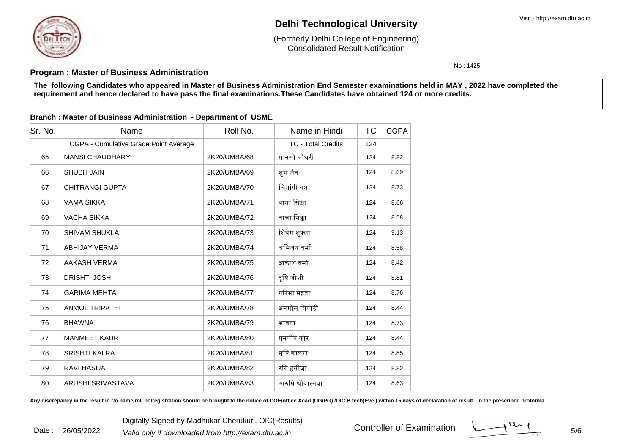Date : 26/05/2022

# **Delhi Technological University**

Consolidated Result Notification(Formerly Delhi College of Engineering)

No : 1425

## **Program : Master of Business Administration**

 **The following Candidates who appeared in Master of Business Administration End Semester examinations held in MAY , 2022 have completed therequirement and hence declared to have pass the final examinations.These Candidates have obtained 124 or more credits.**

### **Branch : Master of Business Administration - Department of USME**

| Sr. No. | Name                                  | Roll No.     | Name in Hindi             | ТC  | <b>CGPA</b> |
|---------|---------------------------------------|--------------|---------------------------|-----|-------------|
|         | CGPA - Cumulative Grade Point Average |              | <b>TC - Total Credits</b> | 124 |             |
| 65      | <b>MANSI CHAUDHARY</b>                | 2K20/UMBA/68 | मानसी चौधरी               | 124 | 8.82        |
| 66      | <b>SHUBH JAIN</b>                     | 2K20/UMBA/69 | शुभ जैन                   | 124 | 8.69        |
| 67      | <b>CHITRANGI GUPTA</b>                | 2K20/UMBA/70 | चित्रांगी गुप्ता          | 124 | 8.73        |
| 68      | <b>VAMA SIKKA</b>                     | 2K20/UMBA/71 | वामा सिक्का               | 124 | 8.66        |
| 69      | <b>VACHA SIKKA</b>                    | 2K20/UMBA/72 | वाचा सिक्का               | 124 | 8.58        |
| 70      | <b>SHIVAM SHUKLA</b>                  | 2K20/UMBA/73 | शिवम शुक्ला               | 124 | 9.13        |
| 71      | <b>ABHIJAY VERMA</b>                  | 2K20/UMBA/74 | अभिजय वर्मा               | 124 | 8.58        |
| 72      | AAKASH VERMA                          | 2K20/UMBA/75 | आकाश वर्मा                | 124 | 8.42        |
| 73      | <b>DRISHTI JOSHI</b>                  | 2K20/UMBA/76 | दृष्टि जोशी               | 124 | 8.81        |
| 74      | <b>GARIMA MEHTA</b>                   | 2K20/UMBA/77 | गरिमा मेहता               | 124 | 8.76        |
| 75      | <b>ANMOL TRIPATHI</b>                 | 2K20/UMBA/78 | अनमोल त्रिपाठी            | 124 | 8.44        |
| 76      | <b>BHAWNA</b>                         | 2K20/UMBA/79 | भावना                     | 124 | 8.73        |
| 77      | <b>MANMEET KAUR</b>                   | 2K20/UMBA/80 | मनमीत कौर                 | 124 | 8.44        |
| 78      | <b>SRISHTI KALRA</b>                  | 2K20/UMBA/81 | सृष्टि कालरा              | 124 | 8.85        |
| 79      | <b>RAVI HASIJA</b>                    | 2K20/UMBA/82 | रवि हसीजा                 | 124 | 8.82        |
| 80      | ARUSHI SRIVASTAVA                     | 2K20/UMBA/83 | आरुषि श्रीवास्तवा         | 124 | 8.63        |

Any discrepancy in the result in r/o name/roll no/registration should be brought to the notice of COE/office Acad (UG/PG) /OIC B.tech(Eve.) within 15 days of declaration of result, in the prescribed proforma.

 $\frac{1}{1}$  5/6